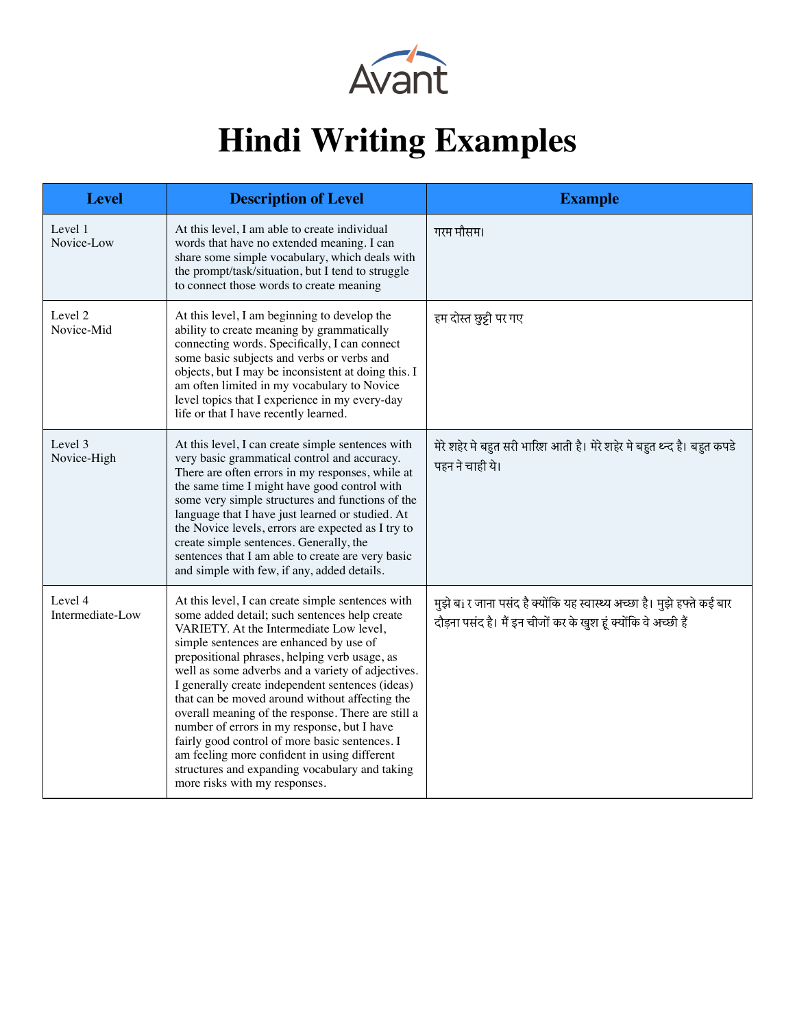

## **Hindi Writing Examples**

| <b>Level</b>                | <b>Description of Level</b>                                                                                                                                                                                                                                                                                                                                                                                                                                                                                                                                                                                                                                                                    | <b>Example</b>                                                                                                                              |
|-----------------------------|------------------------------------------------------------------------------------------------------------------------------------------------------------------------------------------------------------------------------------------------------------------------------------------------------------------------------------------------------------------------------------------------------------------------------------------------------------------------------------------------------------------------------------------------------------------------------------------------------------------------------------------------------------------------------------------------|---------------------------------------------------------------------------------------------------------------------------------------------|
| Level 1<br>Novice-Low       | At this level, I am able to create individual<br>words that have no extended meaning. I can<br>share some simple vocabulary, which deals with<br>the prompt/task/situation, but I tend to struggle<br>to connect those words to create meaning                                                                                                                                                                                                                                                                                                                                                                                                                                                 | गरम मौसम।                                                                                                                                   |
| Level 2<br>Novice-Mid       | At this level, I am beginning to develop the<br>ability to create meaning by grammatically<br>connecting words. Specifically, I can connect<br>some basic subjects and verbs or verbs and<br>objects, but I may be inconsistent at doing this. I<br>am often limited in my vocabulary to Novice<br>level topics that I experience in my every-day<br>life or that I have recently learned.                                                                                                                                                                                                                                                                                                     | हम दोस्त छुट्टी पर गए                                                                                                                       |
| Level 3<br>Novice-High      | At this level, I can create simple sentences with<br>very basic grammatical control and accuracy.<br>There are often errors in my responses, while at<br>the same time I might have good control with<br>some very simple structures and functions of the<br>language that I have just learned or studied. At<br>the Novice levels, errors are expected as I try to<br>create simple sentences. Generally, the<br>sentences that I am able to create are very basic<br>and simple with few, if any, added details.                                                                                                                                                                             | मेरे शहेर मे बहुत सरी भारिश आती है। मेरे शहेर मे बहुत थ्न्द है। बहुत कपडे<br>पहन ने चाही ये।                                                |
| Level 4<br>Intermediate-Low | At this level, I can create simple sentences with<br>some added detail; such sentences help create<br>VARIETY. At the Intermediate Low level,<br>simple sentences are enhanced by use of<br>prepositional phrases, helping verb usage, as<br>well as some adverbs and a variety of adjectives.<br>I generally create independent sentences (ideas)<br>that can be moved around without affecting the<br>overall meaning of the response. There are still a<br>number of errors in my response, but I have<br>fairly good control of more basic sentences. I<br>am feeling more confident in using different<br>structures and expanding vocabulary and taking<br>more risks with my responses. | मुझे बां र जाना पसंद है क्योंकि यह स्वास्थ्य अच्छा है। मुझे हफ्ते कई बार<br>दौड़ना पसंद है। मैं इन चीजों कर के खुश हूं क्योंकि वे अच्छी हैं |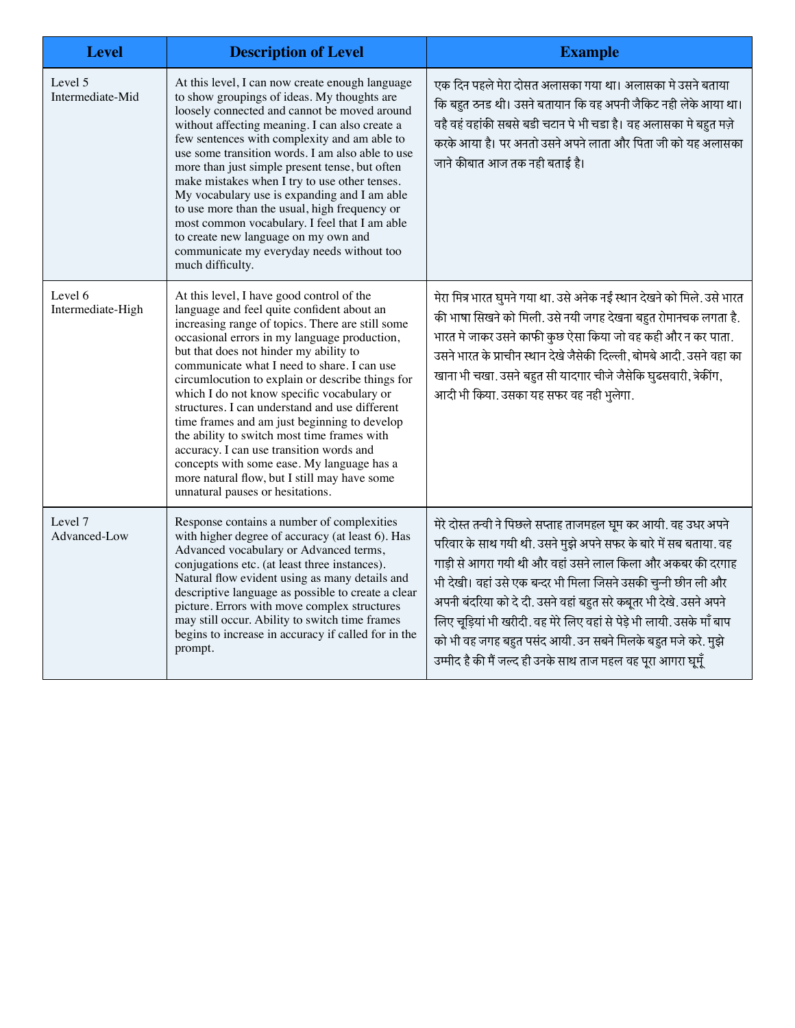| <b>Level</b>                 | <b>Description of Level</b>                                                                                                                                                                                                                                                                                                                                                                                                                                                                                                                                                                                                                                                                                           | <b>Example</b>                                                                                                                                                                                                                                                                                                                                                                                                                                                                                                                                        |
|------------------------------|-----------------------------------------------------------------------------------------------------------------------------------------------------------------------------------------------------------------------------------------------------------------------------------------------------------------------------------------------------------------------------------------------------------------------------------------------------------------------------------------------------------------------------------------------------------------------------------------------------------------------------------------------------------------------------------------------------------------------|-------------------------------------------------------------------------------------------------------------------------------------------------------------------------------------------------------------------------------------------------------------------------------------------------------------------------------------------------------------------------------------------------------------------------------------------------------------------------------------------------------------------------------------------------------|
| Level 5<br>Intermediate-Mid  | At this level, I can now create enough language<br>to show groupings of ideas. My thoughts are<br>loosely connected and cannot be moved around<br>without affecting meaning. I can also create a<br>few sentences with complexity and am able to<br>use some transition words. I am also able to use<br>more than just simple present tense, but often<br>make mistakes when I try to use other tenses.<br>My vocabulary use is expanding and I am able<br>to use more than the usual, high frequency or<br>most common vocabulary. I feel that I am able<br>to create new language on my own and<br>communicate my everyday needs without too<br>much difficulty.                                                    | एक दिन पहले मेरा दोसत अलासका गया था। अलासका मे उसने बताया<br>कि बहुत ठनड थी। उसने बतायान कि वह अपनी जैकिट नही लेके आया था।<br>वहै वहं वहांकी सबसे बडी चटान पे भी चडा है। वह अलासका मे बहुत मज़े<br>करके आया है। पर अनतो उसने अपने लाता और पिता जी को यह अलासका<br>जाने कीबात आज तक नही बताई है।                                                                                                                                                                                                                                                       |
| Level 6<br>Intermediate-High | At this level, I have good control of the<br>language and feel quite confident about an<br>increasing range of topics. There are still some<br>occasional errors in my language production,<br>but that does not hinder my ability to<br>communicate what I need to share. I can use<br>circumlocution to explain or describe things for<br>which I do not know specific vocabulary or<br>structures. I can understand and use different<br>time frames and am just beginning to develop<br>the ability to switch most time frames with<br>accuracy. I can use transition words and<br>concepts with some ease. My language has a<br>more natural flow, but I still may have some<br>unnatural pauses or hesitations. | मेरा मित्र भारत घुमने गया था. उसे अनेक नई स्थान देखने को मिले. उसे भारत<br>की भाषा सिखने को मिली. उसे नयी जगह देखना बहुत रोमानचक लगता है.<br>भारत मे जाकर उसने काफी कुछ ऐसा किया जो वह कही और न कर पाता.<br>उसने भारत के प्राचीन स्थान देखे जैसेकी दिल्ली, बोमबे आदी. उसने वहा का<br>खाना भी चखा. उसने बहुत सी यादगार चीजे जैसेकि घुढसवारी, त्रेकींग,<br>आदी भी किया. उसका यह सफर वह नही भुलेगा.                                                                                                                                                      |
| Level 7<br>Advanced-Low      | Response contains a number of complexities<br>with higher degree of accuracy (at least 6). Has<br>Advanced vocabulary or Advanced terms,<br>conjugations etc. (at least three instances).<br>Natural flow evident using as many details and<br>descriptive language as possible to create a clear<br>picture. Errors with move complex structures<br>may still occur. Ability to switch time frames<br>begins to increase in accuracy if called for in the<br>prompt.                                                                                                                                                                                                                                                 | मेरे दोस्त तन्वी ने पिछले सप्ताह ताजमहल घूम कर आयी. वह उधर अपने<br>परिवार के साथ गयी थी. उसने मुझे अपने सफर के बारे में सब बताया. वह<br>गाड़ी से आगरा गयी थी और वहां उसने लाल किला और अकबर की दरगाह<br>भी देखी। वहां उसे एक बन्दर भी मिला जिसने उसकी चुन्नी छीन ली और<br>अपनी बंदरिया को दे दी. उसने वहां बहुत सरे कबूतर भी देखे. उसने अपने<br>लिए चूड़ियां भी खरीदी. वह मेरे लिए वहां से पेड़े भी लायी. उसके माँ बाप<br>को भी वह जगह बहुत पसंद आयी. उन सबने मिलके बहुत मजे करे. मुझे<br>उम्मीद है की मैं जल्द ही उनके साथ ताज महल वह पूरा आगरा घूमूँ |